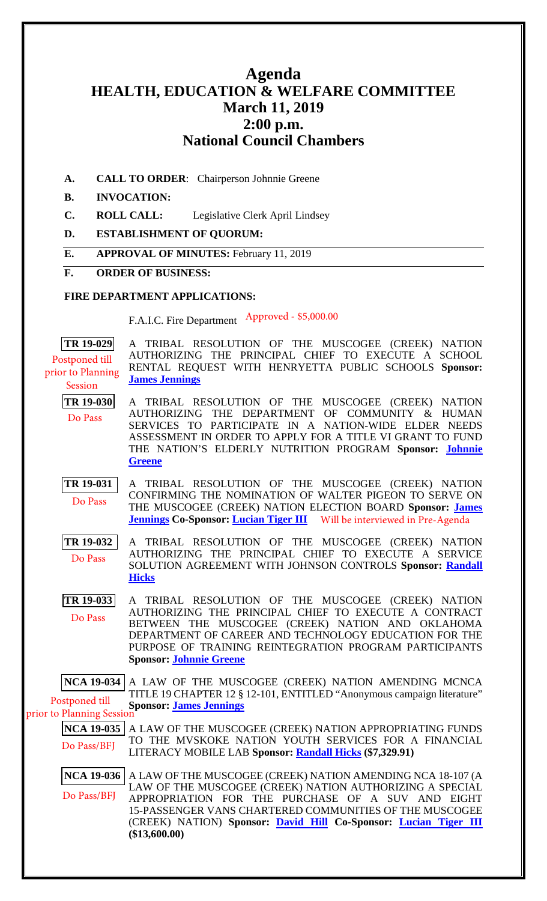# **Agenda HEALTH, EDUCATION & WELFARE COMMITTEE March 11, 2019 2:00 p.m. National Council Chambers**

**A. CALL TO ORDER**: Chairperson Johnnie Greene

### **B. INVOCATION:**

- **C. ROLL CALL:** Legislative Clerk April Lindsey
- **D. ESTABLISHMENT OF QUORUM:**
- **E. APPROVAL OF MINUTES:** February 11, 2019

#### **F. ORDER OF BUSINESS:**

### **FIRE DEPARTMENT APPLICATIONS:**

F.A.I.C. Fire Department Approved - \$5,000.00

**[TR 19-029](bills/19-029.pdf)** A TRIBAL RESOLUTION OF THE MUSCOGEE (CREEK) NATION AUTHORIZING THE PRINCIPAL CHIEF TO EXECUTE A SCHOOL RENTAL REQUEST WITH HENRYETTA PUBLIC SCHOOLS **Sponsor: [James Jennings](mailto:jjennings@mcn-nsn.gov)** Postponed till prior to Planning Session

- **[TR 19-030](bills/19-030.pdf)** A TRIBAL RESOLUTION OF THE MUSCOGEE (CREEK) NATION AUTHORIZING THE DEPARTMENT OF COMMUNITY & HUMAN SERVICES TO PARTICIPATE IN A NATION-WIDE ELDER NEEDS ASSESSMENT IN ORDER TO APPLY FOR A TITLE VI GRANT TO FUND THE NATION'S ELDERLY NUTRITION PROGRAM **Sponsor: [Johnnie](mailto:jgreene@mcn-nsn.gov)  [Greene](mailto:jgreene@mcn-nsn.gov)** Do Pass
- **[TR 19-031](bills/19-031.pdf)** A TRIBAL RESOLUTION OF THE MUSCOGEE (CREEK) NATION CONFIRMING THE NOMINATION OF WALTER PIGEON TO SERVE ON THE MUSCOGEE (CREEK) NATION ELECTION BOARD **Sponsor: [James](mailto:jjennings@mcn-nsn.gov)  [Jennings](mailto:jjennings@mcn-nsn.gov) Co-Sponsor: [Lucian Tiger III](mailto:ltiger@mcn-nsn.gov)** Do Pass Will be interviewed in Pre-Agenda
- **[TR 19-032](bills/19-032.pdf)** A TRIBAL RESOLUTION OF THE MUSCOGEE (CREEK) NATION AUTHORIZING THE PRINCIPAL CHIEF TO EXECUTE A SERVICE SOLUTION AGREEMENT WITH JOHNSON CONTROLS **Sponsor: [Randall](mailto:rhicks@mcn-nsn.gov)  [Hicks](mailto:rhicks@mcn-nsn.gov)** Do Pass
- **[TR 19-033](bills/19-033.pdf)** A TRIBAL RESOLUTION OF THE MUSCOGEE (CREEK) NATION AUTHORIZING THE PRINCIPAL CHIEF TO EXECUTE A CONTRACT BETWEEN THE MUSCOGEE (CREEK) NATION AND OKLAHOMA DEPARTMENT OF CAREER AND TECHNOLOGY EDUCATION FOR THE PURPOSE OF TRAINING REINTEGRATION PROGRAM PARTICIPANTS **Sponsor: [Johnnie Greene](mailto:jgreene@mcn-nsn.gov)** Do Pass

**[NCA 19-034](bill/NCA19-034.pdf)** A LAW OF THE MUSCOGEE (CREEK) NATION AMENDING MCNCA TITLE 19 CHAPTER 12 § 12-101, ENTITLED "Anonymous campaign literature" **Sponsor: [James Jennings](mailto:jjennings@mcn-nsn.gov)** Postponed till prior to Planning Session

**[NCA 19-035](bill/NCA19-035.pdf)** A LAW OF THE MUSCOGEE (CREEK) NATION APPROPRIATING FUNDS TO THE MVSKOKE NATION YOUTH SERVICES FOR A FINANCIAL LITERACY MOBILE LAB **Sponsor: [Randall Hicks](mailto:rhicks@mcn-nsn.gov) (\$7,329.91)**  Do Pass/BFJ

**[NCA 19-036](bills/NCA19-036.pdf)** A LAW OF THE MUSCOGEE (CREEK) NATION AMENDING NCA 18-107 (A LAW OF THE MUSCOGEE (CREEK) NATION AUTHORIZING A SPECIAL APPROPRIATION FOR THE PURCHASE OF A SUV AND EIGHT 15-PASSENGER VANS CHARTERED COMMUNITIES OF THE MUSCOGEE (CREEK) NATION) **Sponsor: [David Hill](mailto:dhill@mcn-nsn.gov) Co-Sponsor: [Lucian Tiger III](mailto:ltiger@mcn-nsn.gov) (\$13,600.00)** Do Pass/BFJ